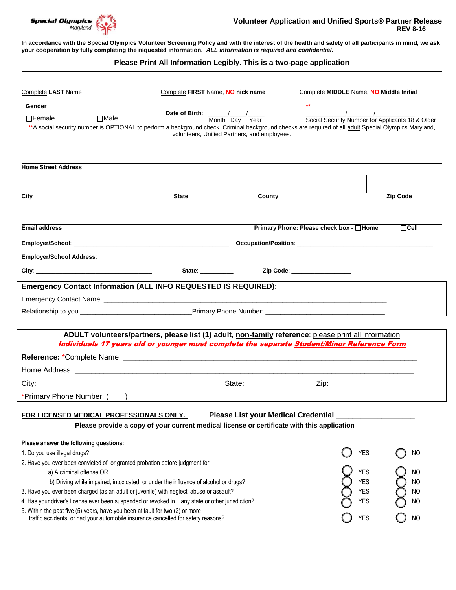

**In accordance with the Special Olympics Volunteer Screening Policy and with the interest of the health and safety of all participants in mind, we ask your cooperation by fully completing the requested information.** *ALL information is required and confidential.*

## **Please Print All Information Legibly. This is a two-page application**

| <b>Complete LAST Name</b>                                                                                                                                          | Complete FIRST Name, NO nick name |                                              | Complete MIDDLE Name, NO Middle Initial |                                                  |
|--------------------------------------------------------------------------------------------------------------------------------------------------------------------|-----------------------------------|----------------------------------------------|-----------------------------------------|--------------------------------------------------|
| Gender                                                                                                                                                             |                                   |                                              |                                         |                                                  |
| $\Box$ Female<br>$\Box$ Male                                                                                                                                       | Date of Birth: ///                | Month Dav<br>Year                            |                                         | Social Security Number for Applicants 18 & Older |
| ** A social security number is OPTIONAL to perform a background check. Criminal background checks are required of all adult Special Olympics Maryland,             |                                   | volunteers, Unified Partners, and employees. |                                         |                                                  |
|                                                                                                                                                                    |                                   |                                              |                                         |                                                  |
|                                                                                                                                                                    |                                   |                                              |                                         |                                                  |
| <b>Home Street Address</b>                                                                                                                                         |                                   |                                              |                                         |                                                  |
|                                                                                                                                                                    |                                   |                                              |                                         |                                                  |
| City                                                                                                                                                               | <b>State</b>                      | County                                       |                                         | Zip Code                                         |
|                                                                                                                                                                    |                                   |                                              |                                         |                                                  |
|                                                                                                                                                                    |                                   |                                              |                                         |                                                  |
| <b>Email address</b>                                                                                                                                               |                                   |                                              | Primary Phone: Please check box - □Home | $\Box$ Cell                                      |
|                                                                                                                                                                    |                                   |                                              |                                         |                                                  |
|                                                                                                                                                                    |                                   |                                              |                                         |                                                  |
|                                                                                                                                                                    |                                   |                                              |                                         |                                                  |
| <b>Emergency Contact Information (ALL INFO REQUESTED IS REQUIRED):</b>                                                                                             |                                   |                                              |                                         |                                                  |
|                                                                                                                                                                    |                                   |                                              |                                         |                                                  |
|                                                                                                                                                                    |                                   |                                              |                                         |                                                  |
|                                                                                                                                                                    |                                   |                                              |                                         |                                                  |
| ADULT volunteers/partners, please list (1) adult, non-family reference: please print all information                                                               |                                   |                                              |                                         |                                                  |
| Individuals 17 years old or younger must complete the separate Student/Minor Reference Form                                                                        |                                   |                                              |                                         |                                                  |
|                                                                                                                                                                    |                                   |                                              |                                         |                                                  |
|                                                                                                                                                                    |                                   |                                              |                                         |                                                  |
|                                                                                                                                                                    |                                   |                                              | Zip: ____________                       |                                                  |
|                                                                                                                                                                    |                                   |                                              |                                         |                                                  |
| FOR LICENSED MEDICAL PROFESSIONALS ONLY.                                                                                                                           |                                   | Please List your Medical Credential          |                                         |                                                  |
| Please provide a copy of your current medical license or certificate with this application                                                                         |                                   |                                              |                                         |                                                  |
|                                                                                                                                                                    |                                   |                                              |                                         |                                                  |
| Please answer the following questions:<br>1. Do you use illegal drugs?                                                                                             |                                   |                                              | YES                                     | NO                                               |
| 2. Have you ever been convicted of, or granted probation before judgment for:                                                                                      |                                   |                                              |                                         |                                                  |
| a) A criminal offense OR                                                                                                                                           |                                   |                                              | <b>YES</b>                              | ΝO                                               |
| YES<br>b) Driving while impaired, intoxicated, or under the influence of alcohol or drugs?                                                                         |                                   |                                              |                                         |                                                  |
| 3. Have you ever been charged (as an adult or juvenile) with neglect, abuse or assault?                                                                            |                                   |                                              | YES                                     | NO                                               |
| 4. Has your driver's license ever been suspended or revoked in any state or other jurisdiction?<br><b>YES</b>                                                      |                                   |                                              | NO                                      |                                                  |
| 5. Within the past five (5) years, have you been at fault for two (2) or more<br>traffic accidents, or had your automobile insurance cancelled for safety reasons? |                                   |                                              | <b>YES</b>                              | <b>NO</b>                                        |
|                                                                                                                                                                    |                                   |                                              |                                         |                                                  |